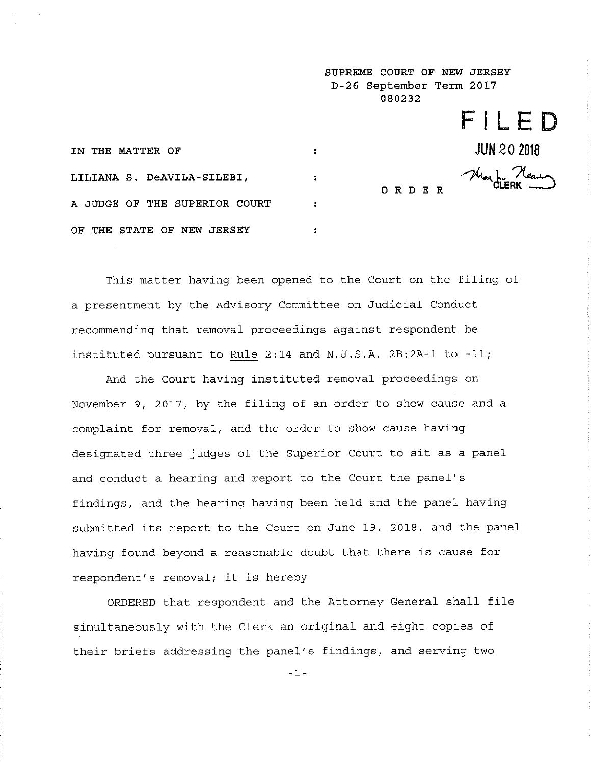**SUPREME COURT OF NEW JERSEY D-26 September Term 2017 080232** 

**FILED** 

**JUN 20 2018** 

ORDER Han**dLERK** 

| IN THE MATTER OF              |  |
|-------------------------------|--|
| LILIANA S. DeAVILA-SILEBI,    |  |
| A JUDGE OF THE SUPERIOR COURT |  |
| OF THE STATE OF NEW JERSEY    |  |

This matter having been opened to the Court on the filing of a presentment by the Advisory Committee on Judicial Conduct recommending that removal proceedings against respondent be instituted pursuant to Rule 2:14 and N.J.S.A. 2B:2A-1 to -11;

And the Court having instituted removal proceedings on November 9, 2017, by the filing of an order to show cause and a complaint for removal, and the order to show cause having designated three judges of the Superior Court to sit as a panel and conduct a hearing and report to the Court the panel's findings, and the hearing having been held and the panel having submitted its report to the Court on June 19, 2018, and the panel having found beyond a reasonable doubt that there is cause for respondent's removal; it is hereby

ORDERED that respondent and the Attorney General shall file simultaneously with the Clerk an original and eight copies of their briefs addressing the panel's findings, and serving two

-1-